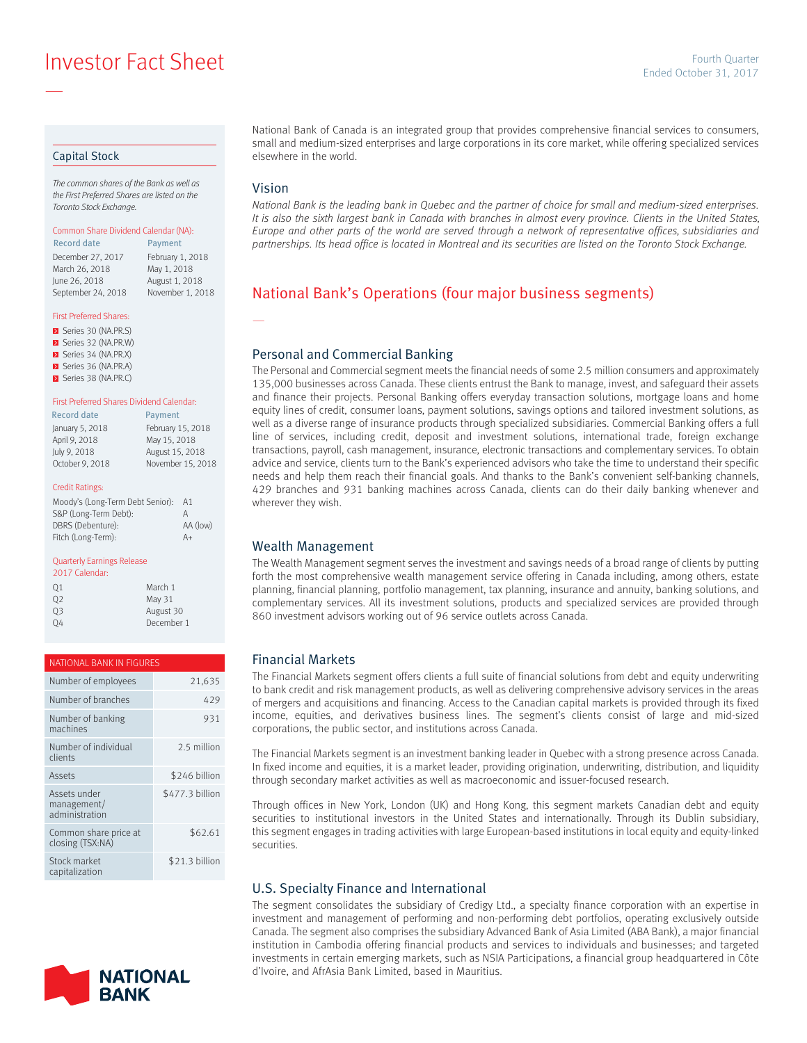**Investor Fact Sheet Ended October 31, 2017** Fourth Quarter

#### Capital Stock

—

The common shares of the Bank as well as the First Preferred Shares are listed on the Toronto Stock Exchange.

#### Common Share Dividend Calendar (NA):

December 27, 2017 February 1, 2018 March 26, 2018 May 1, 2018 June 26, 2018 August 1, 2018 September 24, 2018 November 1, 2018 Record date Payment

#### First Preferred Shares:

Series 30 (NA.PR.S) Series 32 (NA.PR.W) Series 34 (NA.PR.X) Series 36 (NA.PR.A) Series 38 (NA.PR.C)

#### First Preferred Shares Dividend Calendar:

| <b>Record date</b> | Payment           |
|--------------------|-------------------|
| January 5, 2018    | February 15, 2018 |
| April 9, 2018      | May 15, 2018      |
| July 9, 2018       | August 15, 2018   |
| October 9, 2018    | November 15, 2018 |

#### Credit Ratings:

| Moody's (Long-Term Debt Senior): | AA       |
|----------------------------------|----------|
| S&P (Long-Term Debt):            | А        |
| DBRS (Debenture):                | AA (low) |
| Fitch (Long-Term):               | $A+$     |
|                                  |          |

#### Quarterly Earnings Release

| 2017 Calendar: |            |
|----------------|------------|
| Q1             | March 1    |
| O <sub>2</sub> | May 31     |
| 03             | August 30  |
|                | December 1 |

| NATIONAL BANK IN FIGURES                      |                 |  |  |
|-----------------------------------------------|-----------------|--|--|
| Number of employees                           | 21,635          |  |  |
| Number of branches                            | 429             |  |  |
| Number of banking<br>machines                 | 931             |  |  |
| Number of individual<br>clients               | 2.5 million     |  |  |
| Assets                                        | \$246 billion   |  |  |
| Assets under<br>management/<br>administration | \$477.3 billion |  |  |
| Common share price at<br>closing (TSX:NA)     | \$62.61         |  |  |
| Stock market<br>capitalization                | \$21.3 billion  |  |  |



National Bank of Canada is an integrated group that provides comprehensive financial services to consumers, small and medium-sized enterprises and large corporations in its core market, while offering specialized services elsewhere in the world.

### Vision

—

National Bank is the leading bank in Quebec and the partner of choice for small and medium-sized enterprises. It is also the sixth largest bank in Canada with branches in almost every province. Clients in the United States, Europe and other parts of the world are served through a network of representative offices, subsidiaries and partnerships. Its head office is located in Montreal and its securities are listed on the Toronto Stock Exchange.

# National Bank's Operations (four major business segments)

### Personal and Commercial Banking

The Personal and Commercial segment meets the financial needs of some 2.5 million consumers and approximately 135,000 businesses across Canada. These clients entrust the Bank to manage, invest, and safeguard their assets and finance their projects. Personal Banking offers everyday transaction solutions, mortgage loans and home equity lines of credit, consumer loans, payment solutions, savings options and tailored investment solutions, as well as a diverse range of insurance products through specialized subsidiaries. Commercial Banking offers a full line of services, including credit, deposit and investment solutions, international trade, foreign exchange transactions, payroll, cash management, insurance, electronic transactions and complementary services. To obtain advice and service, clients turn to the Bank's experienced advisors who take the time to understand their specific needs and help them reach their financial goals. And thanks to the Bank's convenient self-banking channels, 429 branches and 931 banking machines across Canada, clients can do their daily banking whenever and wherever they wish.

### Wealth Management

The Wealth Management segment serves the investment and savings needs of a broad range of clients by putting forth the most comprehensive wealth management service offering in Canada including, among others, estate planning, financial planning, portfolio management, tax planning, insurance and annuity, banking solutions, and complementary services. All its investment solutions, products and specialized services are provided through 860 investment advisors working out of 96 service outlets across Canada.

### Financial Markets

The Financial Markets segment offers clients a full suite of financial solutions from debt and equity underwriting to bank credit and risk management products, as well as delivering comprehensive advisory services in the areas of mergers and acquisitions and financing. Access to the Canadian capital markets is provided through its fixed income, equities, and derivatives business lines. The segment's clients consist of large and mid-sized corporations, the public sector, and institutions across Canada.

The Financial Markets segment is an investment banking leader in Quebec with a strong presence across Canada. In fixed income and equities, it is a market leader, providing origination, underwriting, distribution, and liquidity through secondary market activities as well as macroeconomic and issuer-focused research.

Through offices in New York, London (UK) and Hong Kong, this segment markets Canadian debt and equity securities to institutional investors in the United States and internationally. Through its Dublin subsidiary, this segment engages in trading activities with large European-based institutions in local equity and equity-linked securities.

### U.S. Specialty Finance and International

The segment consolidates the subsidiary of Credigy Ltd., a specialty finance corporation with an expertise in investment and management of performing and non-performing debt portfolios, operating exclusively outside Canada. The segment also comprises the subsidiary Advanced Bank of Asia Limited (ABA Bank), a major financial institution in Cambodia offering financial products and services to individuals and businesses; and targeted investments in certain emerging markets, such as NSIA Participations, a financial group headquartered in Côte d'Ivoire, and AfrAsia Bank Limited, based in Mauritius.